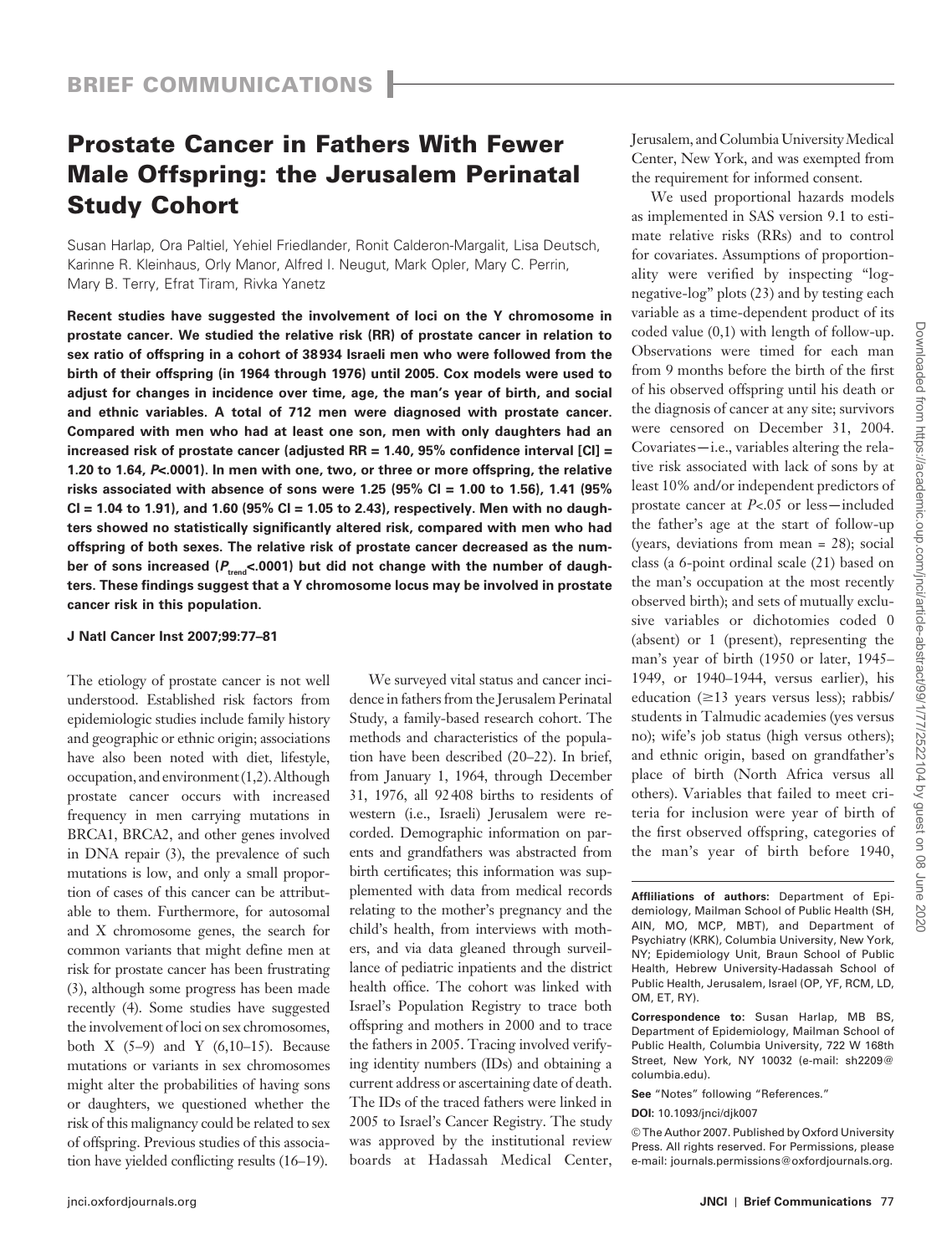# **Prostate Cancer in Fathers With Fewer Male Offspring: the Jerusalem Perinatal Study Cohort**

Susan Harlap, Ora Paltiel, Yehiel Friedlander, Ronit Calderon-Margalit, Lisa Deutsch, Karinne R. Kleinhaus, Orly Manor, Alfred I. Neugut, Mark Opler, Mary C. Perrin, Mary B. Terry, Efrat Tiram, Rivka Yanetz

**Recent studies have suggested the involvement of loci on the Y chromosome in prostate cancer. We studied the relative risk (RR) of prostate cancer in relation to sex ratio of offspring in a cohort of 38 934 Israeli men who were followed from the birth of their offspring (in 1964 through 1976) until 2005. Cox models were used to adjust for changes in incidence over time, age, the man's year of birth, and social and ethnic variables. A total of 712 men were diagnosed with prostate cancer. Compared with men who had at least one son, men with only daughters had an increased risk of prostate cancer (adjusted RR = 1.40, 95% confidence interval [CI] = 1.20 to 1.64,** *P***<.0001). In men with one, two, or three or more offspring, the relative risks associated with absence of sons were 1.25 (95% CI = 1.00 to 1.56), 1.41 (95% CI = 1.04 to 1.91), and 1.60 (95% CI = 1.05 to 2.43), respectively. Men with no daughters showed no statistically significantly altered risk, compared with men who had offspring of both sexes. The relative risk of prostate cancer decreased as the num**ber of sons increased ( $P_{\text{trend}}$ <.0001) but did not change with the number of daugh**ters. These findings suggest that a Y chromosome locus may be involved in prostate cancer risk in this population.** 

## **J Natl Cancer Inst 2007;99: 77 – 81**

The etiology of prostate cancer is not well understood. Established risk factors from epidemiologic studies include family history and geographic or ethnic origin; associations have also been noted with diet, lifestyle, occupation, and environment  $(1,2)$ . Although prostate cancer occurs with increased frequency in men carrying mutations in BRCA1, BRCA2, and other genes involved in DNA repair  $(3)$ , the prevalence of such mutations is low, and only a small proportion of cases of this cancer can be attributable to them. Furthermore, for autosomal and X chromosome genes, the search for common variants that might define men at risk for prostate cancer has been frustrating (3), although some progress has been made recently (4). Some studies have suggested the involvement of loci on sex chromosomes, both  $X$  (5-9) and  $Y$  (6,10-15). Because mutations or variants in sex chromosomes might alter the probabilities of having sons or daughters, we questioned whether the risk of this malignancy could be related to sex of offspring. Previous studies of this association have yielded conflicting results (16-19).

We surveyed vital status and cancer incidence in fathers from the Jerusalem Perinatal Study, a family-based research cohort. The methods and characteristics of the population have been described  $(20-22)$ . In brief, from January 1, 1964, through December 31, 1976, all 92 408 births to residents of western (i.e., Israeli) Jerusalem were recorded. Demographic information on parents and grandfathers was abstracted from birth certificates; this information was supplemented with data from medical records relating to the mother's pregnancy and the child's health, from interviews with mothers, and via data gleaned through surveillance of pediatric inpatients and the district health office. The cohort was linked with Israel's Population Registry to trace both offspring and mothers in 2000 and to trace the fathers in 2005. Tracing involved verifying identity numbers (IDs) and obtaining a current address or ascertaining date of death. The IDs of the traced fathers were linked in 2005 to Israel's Cancer Registry. The study was approved by the institutional review boards at Hadassah Medical Center, Jerusalem, and Columbia University Medical Center, New York, and was exempted from the requirement for informed consent.

We used proportional hazards models as implemented in SAS version 9.1 to estimate relative risks (RRs) and to control for covariates. Assumptions of proportionality were verified by inspecting "lognegative-log" plots (23) and by testing each variable as a time-dependent product of its coded value (0,1) with length of follow-up. Observations were timed for each man from 9 months before the birth of the first of his observed offspring until his death or the diagnosis of cancer at any site; survivors were censored on December 31, 2004. Covariates —i.e., variables altering the relative risk associated with lack of sons by at least 10% and/or independent predictors of prostate cancer at *P*<.05 or less —included the father's age at the start of follow-up (years, deviations from mean = 28); social class (a 6-point ordinal scale (21) based on the man's occupation at the most recently observed birth); and sets of mutually exclusive variables or dichotomies coded 0 (absent) or 1 (present), representing the man's year of birth (1950 or later, 1945-1949, or 1940-1944, versus earlier), his education  $(\geq 13$  years versus less); rabbis/ students in Talmudic academies (yes versus no); wife's job status (high versus others); and ethnic origin, based on grandfather's place of birth (North Africa versus all others). Variables that failed to meet criteria for inclusion were year of birth of the first observed offspring, categories of the man's year of birth before 1940,

**Affliliations of authors:** Department of Epidemiology, Mailman School of Public Health (SH, AIN, MO, MCP, MBT), and Department of Psychiatry (KRK), Columbia University, New York, NY; Epidemiology Unit, Braun School of Public Health, Hebrew University-Hadassah School of Public Health, Jerusalem, Israel (OP, YF, RCM, LD, OM, ET, RY).

**Correspondence to:** Susan Harlap, MB BS, Department of Epidemiology, Mailman School of Public Health, Columbia University, 722 W 168th Street, New York, NY 10032 (e-mail: sh2209@ columbia.edu).

See "Notes" following "References."

**DOI:** 10.1093/jnci/djk007

© The Author 2007. Published by Oxford University Press. All rights reserved. For Permissions, please e-mail: journals.permissions@oxfordjournals.org.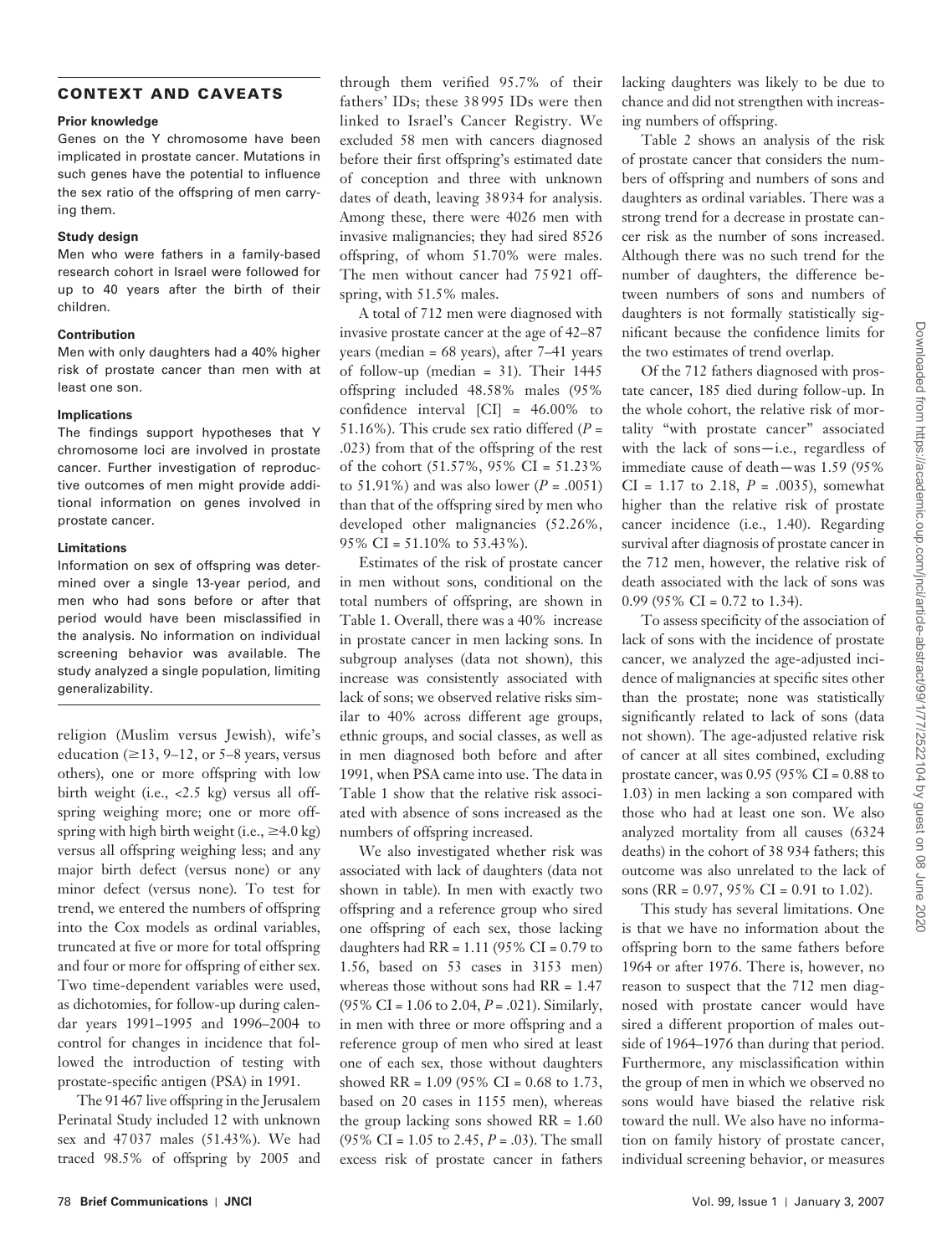## **CONTEXT AND CAVEATS**

## **Prior knowledge**

Genes on the Y chromosome have been implicated in prostate cancer. Mutations in such genes have the potential to influence the sex ratio of the offspring of men carrying them.

#### **Study design**

Men who were fathers in a family-based research cohort in Israel were followed for up to 40 years after the birth of their children.

## **Contribution**

Men with only daughters had a 40% higher risk of prostate cancer than men with at least one son.

## **Implications**

The findings support hypotheses that Y chromosome loci are involved in prostate cancer. Further investigation of reproductive outcomes of men might provide additional information on genes involved in prostate cancer.

## **Limitations**

Information on sex of offspring was determined over a single 13-year period, and men who had sons before or after that period would have been misclassified in the analysis. No information on individual screening behavior was available. The study analyzed a single population, limiting generalizability.

religion (Muslim versus Jewish), wife's education ( $\geq$ 13, 9–12, or 5–8 years, versus others), one or more offspring with low birth weight (i.e., <2.5 kg) versus all offspring weighing more; one or more offspring with high birth weight (i.e.,  $\geq 4.0 \text{ kg}$ ) versus all offspring weighing less; and any major birth defect (versus none) or any minor defect (versus none). To test for trend, we entered the numbers of offspring into the Cox models as ordinal variables, truncated at five or more for total offspring and four or more for offspring of either sex. Two time-dependent variables were used, as dichotomies, for follow-up during calendar years 1991–1995 and 1996–2004 to control for changes in incidence that followed the introduction of testing with prostate-specific antigen (PSA) in 1991.

The 91 467 live offspring in the Jerusalem Perinatal Study included 12 with unknown sex and 47 037 males (51.43%). We had traced 98.5% of offspring by 2005 and through them verified 95.7% of their fathers' IDs; these 38 995 IDs were then linked to Israel's Cancer Registry. We excluded 58 men with cancers diagnosed before their first offspring's estimated date of conception and three with unknown dates of death, leaving 38 934 for analysis. Among these, there were 4026 men with invasive malignancies; they had sired 8526 offspring, of whom 51.70% were males. The men without cancer had 75 921 offspring, with 51.5% males.

A total of 712 men were diagnosed with invasive prostate cancer at the age of 42–87 years (median =  $68$  years), after  $7-41$  years of follow-up (median = 31). Their 1445 offspring included 48.58% males (95% confidence interval  $\text{[CI]} = 46.00\%$  to 51.16%). This crude sex ratio differed  $(P =$ .023) from that of the offspring of the rest of the cohort (51.57%, 95% CI = 51.23% to 51.91%) and was also lower  $(P = .0051)$ than that of the offspring sired by men who developed other malignancies (52.26%, 95% CI = 51.10% to 53.43%).

Estimates of the risk of prostate cancer in men without sons, conditional on the total numbers of offspring, are shown in Table 1. Overall, there was a 40% increase in prostate cancer in men lacking sons. In subgroup analyses (data not shown), this increase was consistently associated with lack of sons; we observed relative risks similar to 40% across different age groups, ethnic groups, and social classes, as well as in men diagnosed both before and after 1991, when PSA came into use. The data in Table 1 show that the relative risk associated with absence of sons increased as the numbers of offspring increased.

We also investigated whether risk was associated with lack of daughters (data not shown in table). In men with exactly two offspring and a reference group who sired one offspring of each sex, those lacking daughters had RR = 1.11 (95% CI = 0.79 to 1.56, based on 53 cases in 3153 men) whereas those without sons had RR =  $1.47$ (95% CI = 1.06 to 2.04, *P* = .021). Similarly, in men with three or more offspring and a reference group of men who sired at least one of each sex, those without daughters showed RR =  $1.09$  (95% CI = 0.68 to 1.73, based on 20 cases in 1155 men), whereas the group lacking sons showed  $RR = 1.60$ (95% CI = 1.05 to 2.45, *P* = .03). The small excess risk of prostate cancer in fathers lacking daughters was likely to be due to chance and did not strengthen with increasing numbers of offspring.

Table 2 shows an analysis of the risk of prostate cancer that considers the numbers of offspring and numbers of sons and daughters as ordinal variables. There was a strong trend for a decrease in prostate cancer risk as the number of sons increased. Although there was no such trend for the number of daughters, the difference be tween numbers of sons and numbers of daughters is not formally statistically significant because the confidence limits for the two estimates of trend overlap.

Of the 712 fathers diagnosed with prostate cancer, 185 died during follow-up. In the whole cohort, the relative risk of mortality "with prostate cancer" associated with the lack of sons-i.e., regardless of immediate cause of death —was 1.59 (95% CI = 1.17 to 2.18, *P* = .0035), somewhat higher than the relative risk of prostate cancer incidence (i.e., 1.40). Regarding survival after diagnosis of prostate cancer in the 712 men, however, the relative risk of death associated with the lack of sons was 0.99 (95% CI = 0.72 to 1.34).

To assess specificity of the association of lack of sons with the incidence of prostate cancer, we analyzed the age-adjusted incidence of malignancies at specific sites other than the prostate; none was statistically significantly related to lack of sons (data not shown). The age-adjusted relative risk of cancer at all sites combined, excluding prostate cancer, was  $0.95$  (95% CI = 0.88 to 1.03) in men lacking a son compared with those who had at least one son. We also analyzed mortality from all causes (6324 deaths) in the cohort of 38 934 fathers; this outcome was also unrelated to the lack of sons (RR = 0.97, 95% CI = 0.91 to 1.02).

This study has several limitations. One is that we have no information about the offspring born to the same fathers before 1964 or after 1976. There is, however, no reason to suspect that the 712 men diagnosed with prostate cancer would have sired a different proportion of males outside of 1964-1976 than during that period. Furthermore, any misclassification within the group of men in which we observed no sons would have biased the relative risk toward the null. We also have no information on family history of prostate cancer, individual screening behavior, or measures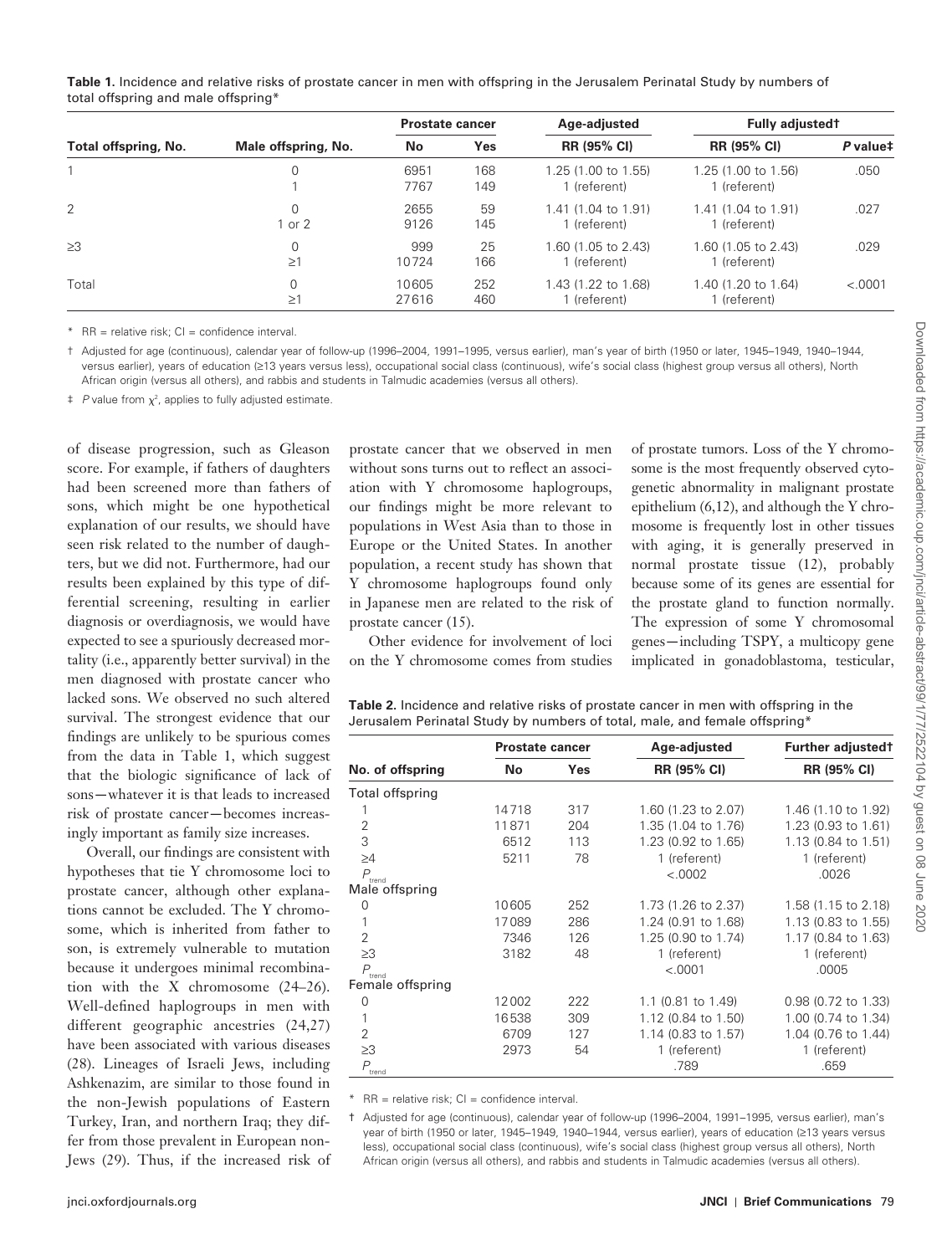**Table 1.** Incidence and relative risks of prostate cancer in men with offspring in the Jerusalem Perinatal Study by numbers of total offspring and male offspring \*

| Total offspring, No. | Male offspring, No.     | <b>Prostate cancer</b> |            | Age-adjusted                        | <b>Fully adjustedt</b>              |          |
|----------------------|-------------------------|------------------------|------------|-------------------------------------|-------------------------------------|----------|
|                      |                         | No                     | Yes        | <b>RR (95% CI)</b>                  | <b>RR (95% CI)</b>                  | P value# |
|                      | 0                       | 6951<br>7767           | 168<br>149 | 1.25 (1.00 to 1.55)<br>1 (referent) | 1.25 (1.00 to 1.56)<br>1 (referent) | .050     |
| 2                    | $\Omega$<br>1 or 2      | 2655<br>9126           | 59<br>145  | 1.41 (1.04 to 1.91)<br>1 (referent) | 1.41 (1.04 to 1.91)<br>1 (referent) | .027     |
| $\geq$ 3             | $\mathbf 0$<br>$\geq$ 1 | 999<br>10724           | 25<br>166  | 1.60 (1.05 to 2.43)<br>1 (referent) | 1.60 (1.05 to 2.43)<br>1 (referent) | .029     |
| Total                | 0<br>$\geq$ 1           | 10605<br>27616         | 252<br>460 | 1.43 (1.22 to 1.68)<br>1 (referent) | 1.40 (1.20 to 1.64)<br>1 (referent) | < .0001  |

 $*$  RR = relative risk; CI = confidence interval

† Adjusted for age (continuous), calendar year of follow-up (1996 – 2004, 1991 – 1995, versus earlier), man's year of birth (1950 or later, 1945 – 1949, 1940 – 1944, versus earlier), years of education (≥13 years versus less), occupational social class (continuous), wife's social class (highest group versus all others), North African origin (versus all others), and rabbis and students in Talmudic academies (versus all others).

 $\ddagger$  P value from  $\chi^2$ , applies to fully adjusted estimate.

of disease progression, such as Gleason score. For example, if fathers of daughters had been screened more than fathers of sons, which might be one hypothetical explanation of our results, we should have seen risk related to the number of daughters, but we did not. Furthermore, had our results been explained by this type of differential screening, resulting in earlier diagnosis or overdiagnosis, we would have expected to see a spuriously decreased mortality (i.e., apparently better survival) in the men diagnosed with prostate cancer who lacked sons. We observed no such altered survival. The strongest evidence that our findings are unlikely to be spurious comes from the data in Table 1, which suggest that the biologic significance of lack of sons —whatever it is that leads to increased risk of prostate cancer —becomes increasingly important as family size increases.

Overall, our findings are consistent with hypotheses that tie Y chromosome loci to prostate cancer, although other explanations cannot be excluded. The Y chromosome, which is inherited from father to son, is extremely vulnerable to mutation because it undergoes minimal recombination with the X chromosome  $(24-26)$ . Well-defined haplogroups in men with different geographic ancestries  $(24, 27)$ have been associated with various diseases (28). Lineages of Israeli Jews, including Ashkenazim, are similar to those found in the non-Jewish populations of Eastern Turkey, Iran, and northern Iraq; they differ from those prevalent in European non-Jews (29). Thus, if the increased risk of prostate cancer that we observed in men without sons turns out to reflect an association with Y chromosome haplogroups, our findings might be more relevant to populations in West Asia than to those in Europe or the United States. In another population, a recent study has shown that Y chromosome haplogroups found only in Japanese men are related to the risk of prostate cancer  $(15)$ .

Other evidence for involvement of loci on the Y chromosome comes from studies of prostate tumors. Loss of the Y chromosome is the most frequently observed cytogenetic abnormality in malignant prostate epithelium  $(6, 12)$ , and although the Y chromosome is frequently lost in other tissues with aging, it is generally preserved in normal prostate tissue (12), probably because some of its genes are essential for the prostate gland to function normally. The expression of some Y chromosomal genes —including TSPY, a multicopy gene implicated in gonadoblastoma, testicular,

**Table 2.** Incidence and relative risks of prostate cancer in men with offspring in the Jerusalem Perinatal Study by numbers of total, male, and female offspring \*

|                          | <b>Prostate cancer</b> |            | Age-adjusted        | Further adjusted <sup>†</sup> |  |
|--------------------------|------------------------|------------|---------------------|-------------------------------|--|
| No. of offspring         | No                     | <b>Yes</b> | RR (95% CI)         | RR (95% CI)                   |  |
| Total offspring          |                        |            |                     |                               |  |
|                          | 14718                  | 317        | 1.60 (1.23 to 2.07) | 1.46 (1.10 to 1.92)           |  |
| $\overline{2}$           | 11871                  | 204        | 1.35 (1.04 to 1.76) | 1.23 (0.93 to 1.61)           |  |
| 3                        | 6512                   | 113        | 1.23 (0.92 to 1.65) | 1.13 (0.84 to 1.51)           |  |
| $\geq 4$                 | 5211                   | 78         | 1 (referent)        | 1 (referent)                  |  |
| $P_{\hbox{\tiny trend}}$ |                        |            | < .0002             | .0026                         |  |
| Male offspring           |                        |            |                     |                               |  |
| 0                        | 10605                  | 252        | 1.73 (1.26 to 2.37) | 1.58 (1.15 to 2.18)           |  |
| 1                        | 17089                  | 286        | 1.24 (0.91 to 1.68) | 1.13 (0.83 to 1.55)           |  |
| $\overline{2}$           | 7346                   | 126        | 1.25 (0.90 to 1.74) | 1.17 (0.84 to 1.63)           |  |
| $\geq$ 3                 | 3182                   | 48         | 1 (referent)        | 1 (referent)                  |  |
| $P_{\text{trend}}$       |                        |            | < .0001             | .0005                         |  |
| Female offspring         |                        |            |                     |                               |  |
| 0                        | 12002                  | 222        | 1.1 (0.81 to 1.49)  | 0.98 (0.72 to 1.33)           |  |
| 1                        | 16538                  | 309        | 1.12 (0.84 to 1.50) | 1.00 (0.74 to 1.34)           |  |
| 2                        | 6709                   | 127        | 1.14 (0.83 to 1.57) | 1.04 (0.76 to 1.44)           |  |
| $\geq$ 3                 | 2973                   | 54         | 1 (referent)        | 1 (referent)                  |  |
| $\overline{P}$<br>trend  |                        |            | .789                | .659                          |  |

\* RR = relative risk; CI = confidence interval.

† Adjusted for age (continuous), calendar year of follow-up (1996 – 2004, 1991 – 1995, versus earlier), man's year of birth (1950 or later, 1945-1949, 1940-1944, versus earlier), years of education (≥13 years versus less), occupational social class (continuous), wife's social class (highest group versus all others), North African origin (versus all others), and rabbis and students in Talmudic academies (versus all others).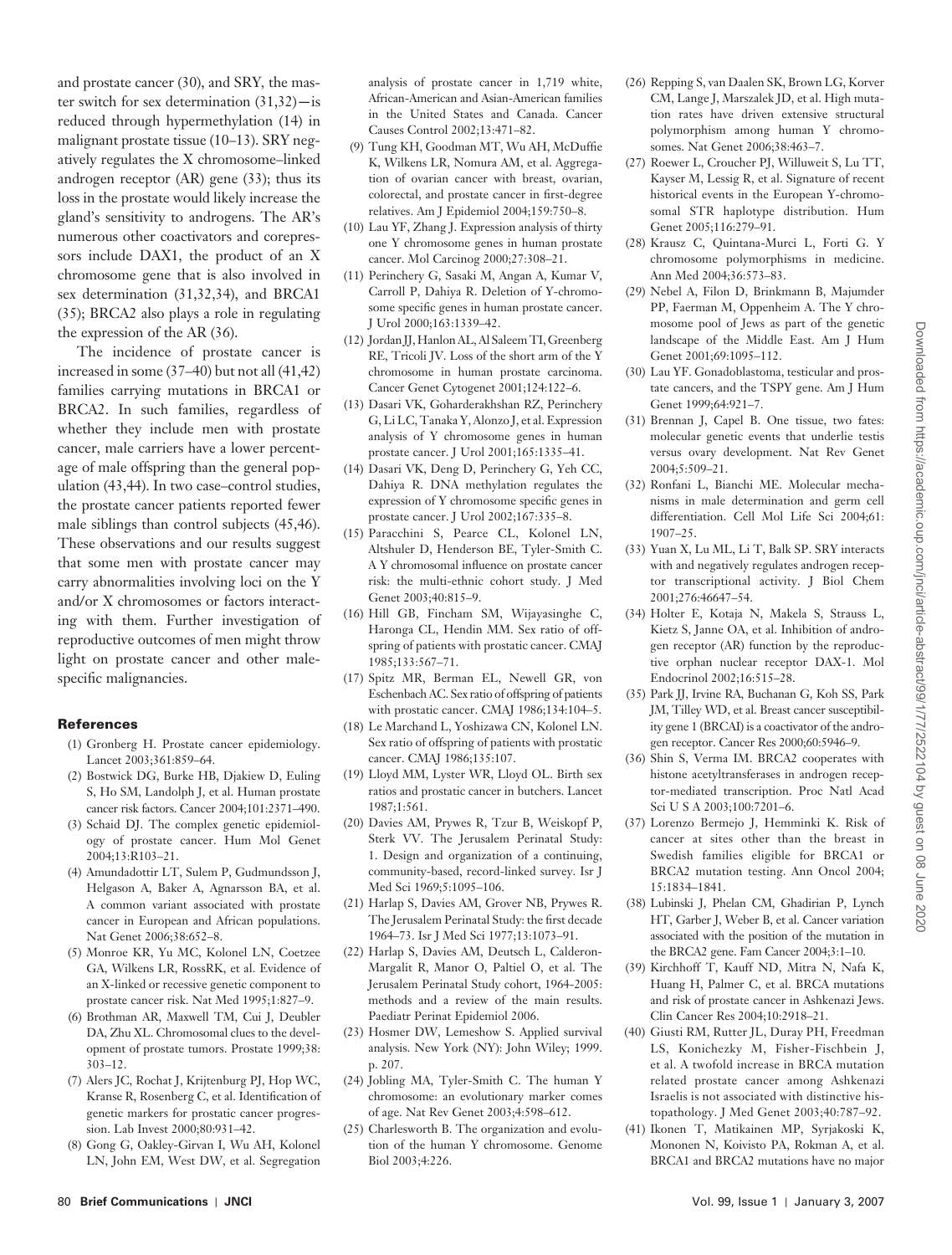Downloaded from https://academic.oup.com/jnci/article-abstract/99/1/77/2522104 by guest on 08 June 2020 Downloaded from https://academic.oup.com/jnci/article-abstract/99/1/77/2522104 by guest on 08 June 2020

and prostate cancer (30), and SRY, the master switch for sex determination  $(31,32)$ —is reduced through hypermethylation (14) in malignant prostate tissue (10-13). SRY negatively regulates the X chromosome-linked androgen receptor  $(AR)$  gene  $(33)$ ; thus its loss in the prostate would likely increase the gland's sensitivity to androgens. The AR's numerous other coactivators and corepressors include DAX1, the product of an X chromosome gene that is also involved in sex determination  $(31, 32, 34)$ , and BRCA1 (35); BRCA2 also plays a role in regulating the expression of the AR  $(36)$ .

The incidence of prostate cancer is increased in some  $(37-40)$  but not all  $(41,42)$ families carrying mutations in BRCA1 or BRCA2. In such families, regardless of whether they include men with prostate cancer, male carriers have a lower percentage of male offspring than the general population  $(43, 44)$ . In two case-control studies, the prostate cancer patients reported fewer male siblings than control subjects (45,46). These observations and our results suggest that some men with prostate cancer may carry abnormalities involving loci on the Y and/or X chromosomes or factors interacting with them. Further investigation of reproductive outcomes of men might throw light on prostate cancer and other malespecific malignancies.

## **References**

- (1) Gronberg H. Prostate cancer epidemiology. Lancet 2003;361:859-64.
- (2) Bostwick DG, Burke HB, Djakiew D, Euling S, Ho SM, Landolph J, et al. Human prostate cancer risk factors. Cancer 2004;101:2371-490.
- (3) Schaid DJ. The complex genetic epidemiology of prostate cancer. Hum Mol Genet 2004;13:R103-21.
- (4) Amundadottir LT, Sulem P, Gudmundsson J, Helgason A, Baker A, Agnarsson BA, et al. A common variant associated with prostate cancer in European and African populations . Nat Genet 2006;38:652-8.
- (5) Monroe KR, Yu MC, Kolonel LN, Coetzee GA, Wilkens LR, RossRK, et al. Evidence of an X-linked or recessive genetic component to prostate cancer risk. Nat Med 1995:1:827-9.
- (6) Brothman AR, Maxwell TM, Cui J, Deubler DA, Zhu XL. Chromosomal clues to the development of prostate tumors. Prostate 1999;38:  $303 - 12$ .
- (7) Alers JC, Rochat J, Krijtenburg PJ, Hop WC, Kranse R, Rosenberg C, et al. Identification of genetic markers for prostatic cancer progression. Lab Invest 2000;80:931-42.
- (8) Gong G, Oakley-Girvan I, Wu AH, Kolonel LN, John EM, West DW, et al. Segregation

analysis of prostate cancer in 1,719 white, African-American and Asian-American families in the United States and Canada . Cancer Causes Control 2002;13:471-82.

- (9) Tung KH, Goodman MT, Wu AH, McDuffie K, Wilkens LR, Nomura AM, et al. Aggregation of ovarian cancer with breast, ovarian, colorectal, and prostate cancer in first-degree relatives. Am J Epidemiol 2004;159:750-8.
- (10) Lau YF, Zhang J. Expression analysis of thirty one Y chromosome genes in human prostate cancer. Mol Carcinog 2000;27:308-21.
- (11) Perinchery G, Sasaki M, Angan A, Kumar V, Carroll P, Dahiya R. Deletion of Y-chromosome specific genes in human prostate cancer. J Urol 2000;163:1339-42.
- (12) Jordan JJ, Hanlon AL, Al Saleem TI, Greenberg RE, Tricoli JV. Loss of the short arm of the Y chromosome in human prostate carcinoma. Cancer Genet Cytogenet 2001;124:122-6.
- (13) Dasari VK, Goharderakhshan RZ, Perinchery G, Li LC, Tanaka Y, Alonzo J, et al. Expression analysis of Y chromosome genes in human prostate cancer. J Urol 2001;165:1335-41.
- (14) Dasari VK, Deng D, Perinchery G, Yeh CC, Dahiya R. DNA methylation regulates the expression of Y chromosome specific genes in prostate cancer. J Urol 2002;167:335-8.
- (15) Paracchini S, Pearce CL, Kolonel LN, Altshuler D, Henderson BE, Tyler-Smith C. A Y chromosomal influence on prostate cancer risk: the multi-ethnic cohort study . J Med Genet 2003;40:815-9.
- (16) Hill GB, Fincham SM, Wijayasinghe C, Haronga CL, Hendin MM. Sex ratio of offspring of patients with prostatic cancer . CMAJ 1985:133:567-71.
- (17) Spitz MR, Berman EL, Newell GR, von Eschenbach AC . Sex ratio of offspring of patients with prostatic cancer. CMAJ 1986;134:104-5.
- (18) Le Marchand L, Yoshizawa CN, Kolonel LN. Sex ratio of offspring of patients with prostatic cancer. CMAJ 1986;135:107.
- (19) Lloyd MM, Lyster WR, Lloyd OL. Birth sex ratios and prostatic cancer in butchers . Lancet 1987;1:561.
- (20) Davies AM, Prywes R, Tzur B, Weiskopf P, Sterk VV. The Jerusalem Perinatal Study: 1. Design and organization of a continuing, community-based, record-linked survey. Isr J Med Sci 1969;5:1095-106.
- (21) Harlap S, Davies AM, Grover NB, Prywes R. The Jerusalem Perinatal Study: the first decade 1964-73. Isr J Med Sci 1977;13:1073-91.
- (22)Harlap S, Davies AM, Deutsch L, Calderon-Margalit R, Manor O, Paltiel O, et al. The Jerusalem Perinatal Study cohort, 1964-2005: methods and a review of the main results. Paediatr Perinat Epidemiol 2006.
- (23) Hosmer DW, Lemeshow S. Applied survival analysis. New York (NY): John Wiley; 1999. p. 207.
- (24) Jobling MA, Tyler-Smith C. The human Y chromosome: an evolutionary marker comes of age. Nat Rev Genet 2003;4:598-612.
- (25) Charlesworth B. The organization and evolution of the human Y chromosome . Genome Biol 2003;4:226.
- (26) Repping S, van Daalen SK, Brown LG, Korver CM, Lange J, Marszalek JD, et al. High mutation rates have driven extensive structural polymorphism among human Y chromosomes. Nat Genet 2006;38:463-7.
- (27) Roewer L, Croucher PJ, Willuweit S, Lu TT, Kayser M, Lessig R, et al. Signature of recent historical events in the European Y-chromosomal STR haplotype distribution. Hum Genet 2005;116:279-91.
- (28) Krausz C, Quintana-Murci L, Forti G. Y chromosome polymorphisms in medicine. Ann Med 2004;36:573-83.
- (29) Nebel A, Filon D, Brinkmann B, Majumder PP, Faerman M, Oppenheim A. The Y chromosome pool of Jews as part of the genetic landscape of the Middle East . Am J Hum Genet 2001;69:1095-112.
- (30)Lau YF . Gonadoblastoma, testicular and prostate cancers, and the TSPY gene . Am J Hum Genet 1999;64:921-7.
- (31) Brennan J, Capel B. One tissue, two fates: molecular genetic events that underlie testis versus ovary development. Nat Rev Genet  $2004:5:509 - 21.$
- (32) Ronfani L, Bianchi ME. Molecular mechanisms in male determination and germ cell differentiation. Cell Mol Life Sci 2004;61:  $1907 - 25$ .
- (33) Yuan X, Lu ML, Li T, Balk SP. SRY interacts with and negatively regulates androgen receptor transcriptional activity . J Biol Chem 2001;276:46647-54.
- (34) Holter E, Kotaja N, Makela S, Strauss L, Kietz S, Janne OA, et al. Inhibition of androgen receptor (AR) function by the reproductive orphan nuclear receptor DAX-1. Mol Endocrinol 2002;16:515-28.
- (35) Park JJ, Irvine RA, Buchanan G, Koh SS, Park JM, Tilley WD, et al. Breast cancer susceptibility gene 1 (BRCAI) is a coactivator of the androgen receptor. Cancer Res 2000;60:5946-9.
- (36) Shin S, Verma IM. BRCA2 cooperates with histone acetyltransferases in androgen receptor-mediated transcription . Proc Natl Acad Sci U S A 2003;100:7201-6.
- (37) Lorenzo Bermejo J, Hemminki K. Risk of cancer at sites other than the breast in Swedish families eligible for BRCA1 or BRCA2 mutation testing. Ann Oncol 2004; 15:1834-1841.
- (38) Lubinski J, Phelan CM, Ghadirian P, Lynch HT, Garber J, Weber B, et al. Cancer variation associated with the position of the mutation in the BRCA2 gene. Fam Cancer 2004;3:1-10.
- (39) Kirchhoff T, Kauff ND, Mitra N, Nafa K, Huang H, Palmer C, et al. BRCA mutations and risk of prostate cancer in Ashkenazi Jews. Clin Cancer Res 2004;10:2918-21.
- (40) Giusti RM, Rutter JL, Duray PH, Freedman LS, Konichezky M, Fisher-Fischbein J, et al. A twofold increase in BRCA mutation related prostate cancer among Ashkenazi Israelis is not associated with distinctive histopathology. J Med Genet 2003;40:787-92.
- (41) Ikonen T, Matikainen MP, Syrjakoski K, Mononen N, Koivisto PA, Rokman A, et al. BRCA1 and BRCA2 mutations have no major